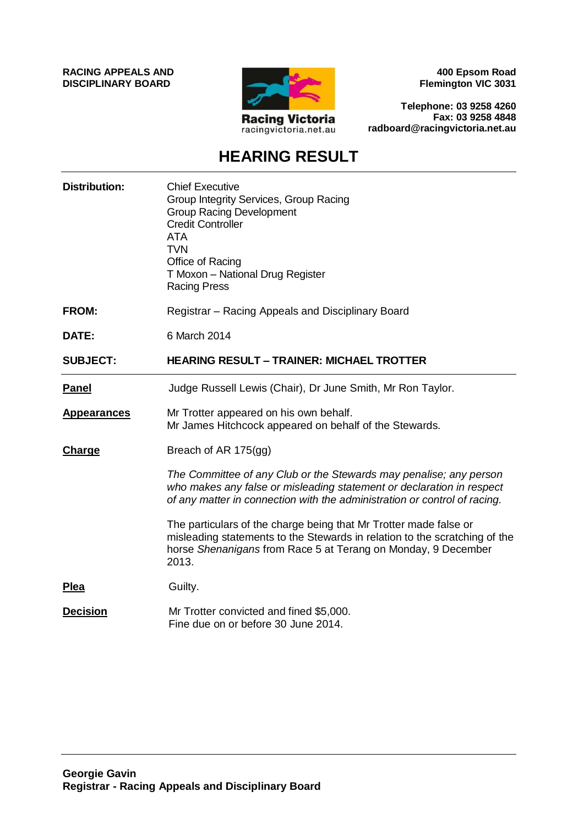**RACING APPEALS AND DISCIPLINARY BOARD**



**400 Epsom Road Flemington VIC 3031**

**Telephone: 03 9258 4260 Fax: 03 9258 4848 radboard@racingvictoria.net.au**

# **HEARING RESULT**

| <b>Distribution:</b> | <b>Chief Executive</b><br>Group Integrity Services, Group Racing<br><b>Group Racing Development</b><br><b>Credit Controller</b><br><b>ATA</b><br><b>TVN</b><br>Office of Racing<br>T Moxon - National Drug Register<br><b>Racing Press</b> |
|----------------------|--------------------------------------------------------------------------------------------------------------------------------------------------------------------------------------------------------------------------------------------|
| <b>FROM:</b>         | Registrar - Racing Appeals and Disciplinary Board                                                                                                                                                                                          |
| DATE:                | 6 March 2014                                                                                                                                                                                                                               |
| <b>SUBJECT:</b>      | <b>HEARING RESULT - TRAINER: MICHAEL TROTTER</b>                                                                                                                                                                                           |
| <b>Panel</b>         | Judge Russell Lewis (Chair), Dr June Smith, Mr Ron Taylor.                                                                                                                                                                                 |
| <b>Appearances</b>   | Mr Trotter appeared on his own behalf.<br>Mr James Hitchcock appeared on behalf of the Stewards.                                                                                                                                           |
| <b>Charge</b>        | Breach of AR 175(gg)                                                                                                                                                                                                                       |
|                      | The Committee of any Club or the Stewards may penalise; any person<br>who makes any false or misleading statement or declaration in respect<br>of any matter in connection with the administration or control of racing.                   |
|                      | The particulars of the charge being that Mr Trotter made false or<br>misleading statements to the Stewards in relation to the scratching of the<br>horse Shenanigans from Race 5 at Terang on Monday, 9 December<br>2013.                  |
| <b>Plea</b>          | Guilty.                                                                                                                                                                                                                                    |
| <b>Decision</b>      | Mr Trotter convicted and fined \$5,000.<br>Fine due on or before 30 June 2014.                                                                                                                                                             |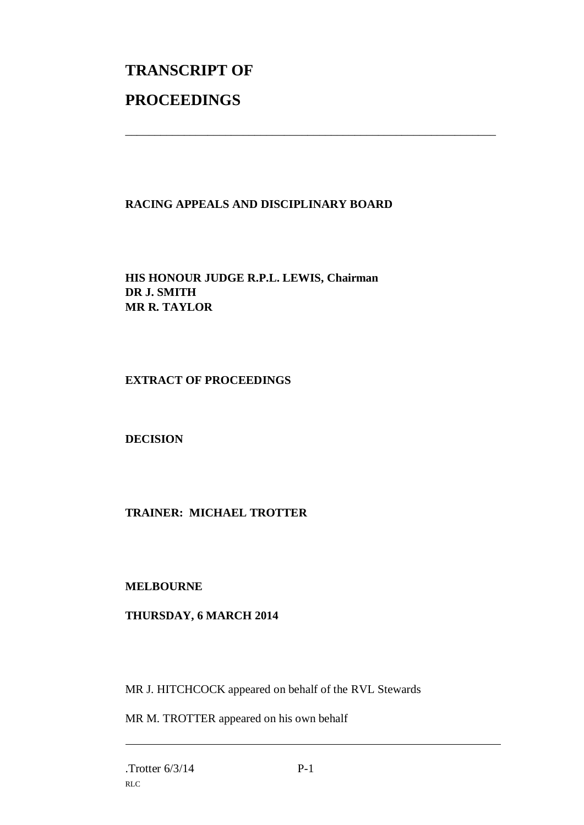# **TRANSCRIPT OF PROCEEDINGS**

# **RACING APPEALS AND DISCIPLINARY BOARD**

\_\_\_\_\_\_\_\_\_\_\_\_\_\_\_\_\_\_\_\_\_\_\_\_\_\_\_\_\_\_\_\_\_\_\_\_\_\_\_\_\_\_\_\_\_\_\_\_\_\_\_\_\_\_\_\_\_\_\_\_\_\_\_

**HIS HONOUR JUDGE R.P.L. LEWIS, Chairman DR J. SMITH MR R. TAYLOR**

#### **EXTRACT OF PROCEEDINGS**

**DECISION**

## **TRAINER: MICHAEL TROTTER**

#### **MELBOURNE**

## **THURSDAY, 6 MARCH 2014**

MR J. HITCHCOCK appeared on behalf of the RVL Stewards

MR M. TROTTER appeared on his own behalf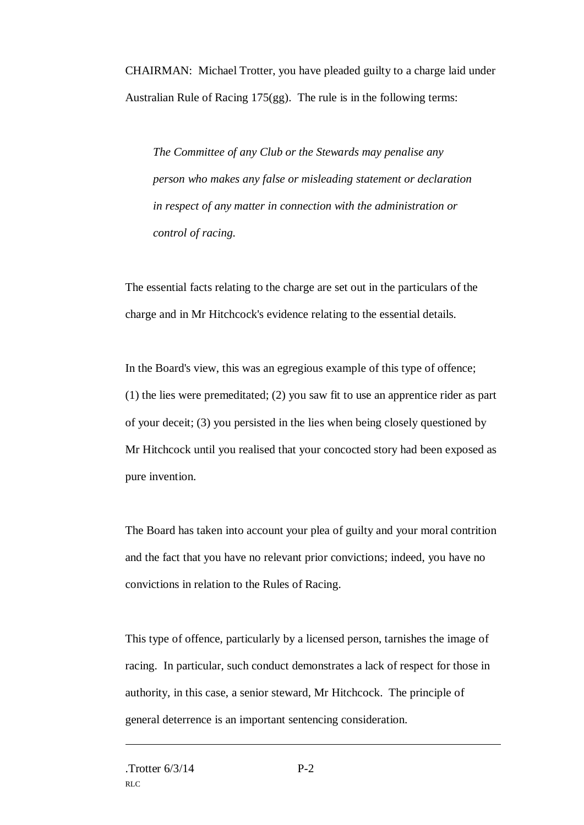CHAIRMAN: Michael Trotter, you have pleaded guilty to a charge laid under Australian Rule of Racing 175(gg). The rule is in the following terms:

*The Committee of any Club or the Stewards may penalise any person who makes any false or misleading statement or declaration in respect of any matter in connection with the administration or control of racing.*

The essential facts relating to the charge are set out in the particulars of the charge and in Mr Hitchcock's evidence relating to the essential details.

In the Board's view, this was an egregious example of this type of offence; (1) the lies were premeditated; (2) you saw fit to use an apprentice rider as part of your deceit; (3) you persisted in the lies when being closely questioned by Mr Hitchcock until you realised that your concocted story had been exposed as pure invention.

The Board has taken into account your plea of guilty and your moral contrition and the fact that you have no relevant prior convictions; indeed, you have no convictions in relation to the Rules of Racing.

This type of offence, particularly by a licensed person, tarnishes the image of racing. In particular, such conduct demonstrates a lack of respect for those in authority, in this case, a senior steward, Mr Hitchcock. The principle of general deterrence is an important sentencing consideration.